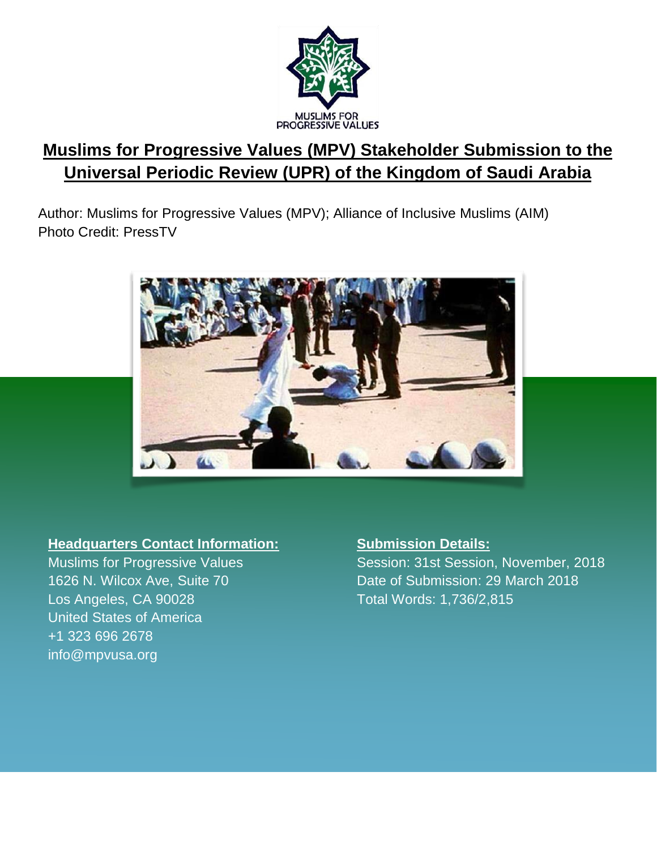

## **Muslims for Progressive Values (MPV) Stakeholder Submission to the Universal Periodic Review (UPR) of the Kingdom of Saudi Arabia**

Author: Muslims for Progressive Values (MPV); Alliance of Inclusive Muslims (AIM) Photo Credit: PressTV



#### **Headquarters Contact Information:**

Muslims for Progressive Values 1626 N. Wilcox Ave, Suite 70 Los Angeles, CA 90028 United States of America +1 323 696 2678 info@mpvusa.org

#### **Submission Details:**

Session: 31st Session, November, 2018 Date of Submission: 29 March 2018 Total Words: 1,736/2,815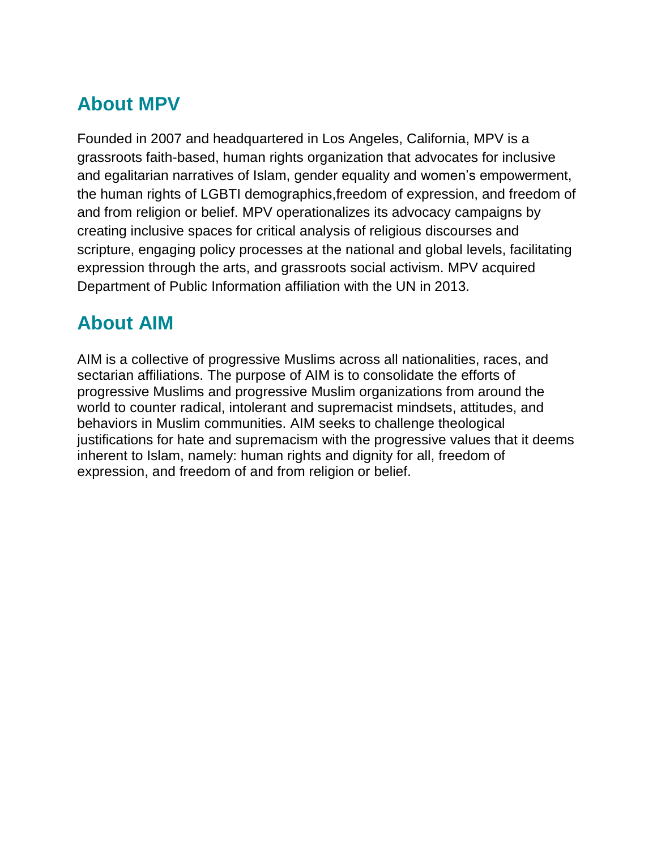# **About MPV**

Founded in 2007 and headquartered in Los Angeles, California, MPV is a grassroots faith-based, human rights organization that advocates for inclusive and egalitarian narratives of Islam, gender equality and women's empowerment, the human rights of LGBTI demographics,freedom of expression, and freedom of and from religion or belief. MPV operationalizes its advocacy campaigns by creating inclusive spaces for critical analysis of religious discourses and scripture, engaging policy processes at the national and global levels, facilitating expression through the arts, and grassroots social activism. MPV acquired Department of Public Information affiliation with the UN in 2013.

## **About AIM**

AIM is a collective of progressive Muslims across all nationalities, races, and sectarian affiliations. The purpose of AIM is to consolidate the efforts of progressive Muslims and progressive Muslim organizations from around the world to counter radical, intolerant and supremacist mindsets, attitudes, and behaviors in Muslim communities. AIM seeks to challenge theological justifications for hate and supremacism with the progressive values that it deems inherent to Islam, namely: human rights and dignity for all, freedom of expression, and freedom of and from religion or belief.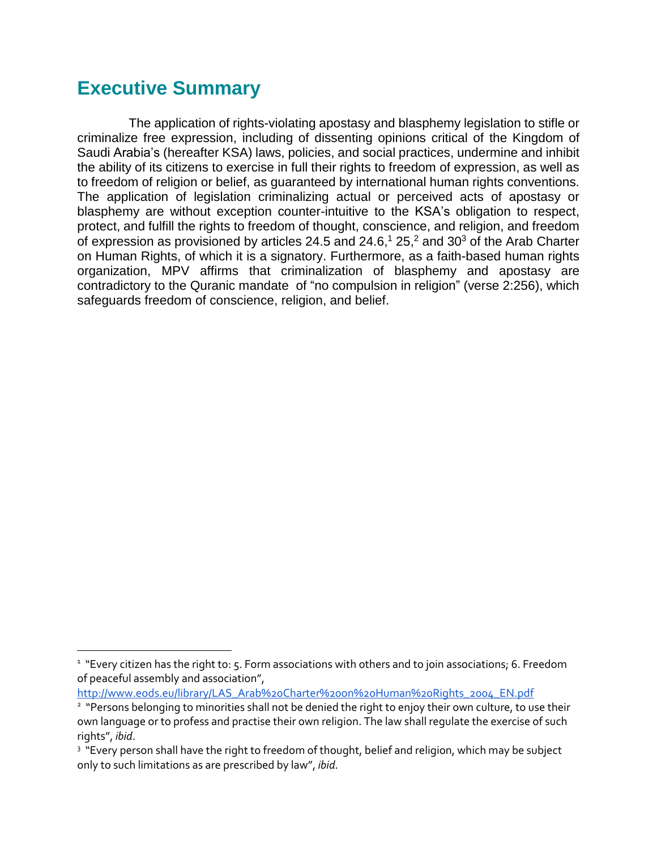## **Executive Summary**

 $\overline{a}$ 

The application of rights-violating apostasy and blasphemy legislation to stifle or criminalize free expression, including of dissenting opinions critical of the Kingdom of Saudi Arabia's (hereafter KSA) laws, policies, and social practices, undermine and inhibit the ability of its citizens to exercise in full their rights to freedom of expression, as well as to freedom of religion or belief, as guaranteed by international human rights conventions. The application of legislation criminalizing actual or perceived acts of apostasy or blasphemy are without exception counter-intuitive to the KSA's obligation to respect, protect, and fulfill the rights to freedom of thought, conscience, and religion, and freedom of expression as provisioned by articles 24.5 and 24.6,<sup>1</sup> 25,<sup>2</sup> and 30<sup>3</sup> of the Arab Charter on Human Rights, of which it is a signatory. Furthermore, as a faith-based human rights organization, MPV affirms that criminalization of blasphemy and apostasy are contradictory to the Quranic mandate of "no compulsion in religion" (verse 2:256), which safeguards freedom of conscience, religion, and belief.

 $^{\rm a}$  "Every citizen has the right to: 5. Form associations with others and to join associations; 6. Freedom of peaceful assembly and association",

[http://www.eods.eu/library/LAS\\_Arab%20Charter%20on%20Human%20Rights\\_2004\\_EN.pdf](http://www.eods.eu/library/LAS_Arab%20Charter%20on%20Human%20Rights_2004_EN.pdf)

<sup>&</sup>lt;sup>2</sup> "Persons belonging to minorities shall not be denied the right to enjoy their own culture, to use their own language or to profess and practise their own religion. The law shall regulate the exercise of such rights", *ibid*.

 $\,$  "Every person shall have the right to freedom of thought, belief and religion, which may be subject only to such limitations as are prescribed by law", *ibid*.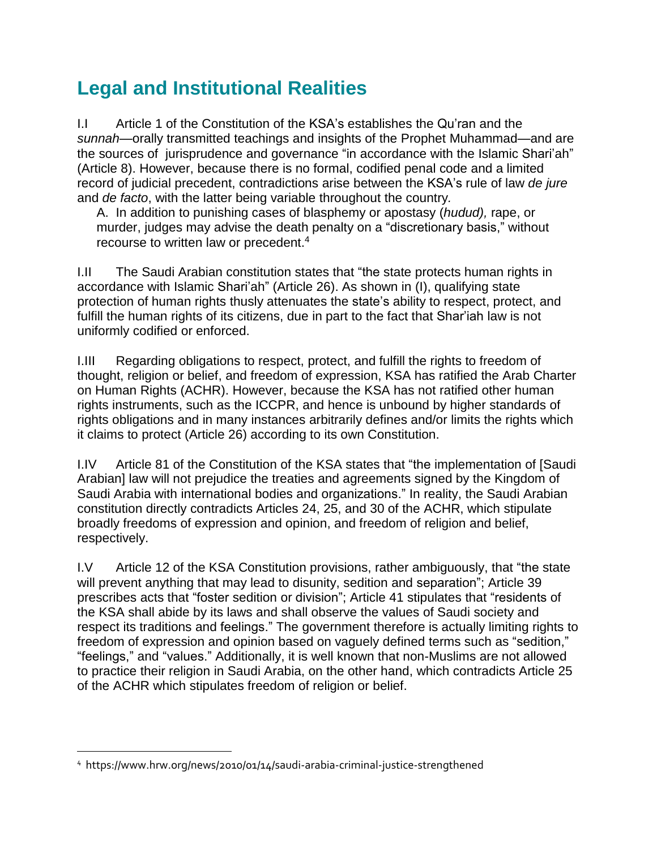# **Legal and Institutional Realities**

I.I Article 1 of the Constitution of the KSA's establishes the Qu'ran and the *sunnah—*orally transmitted teachings and insights of the Prophet Muhammad*—*and are the sources of jurisprudence and governance "in accordance with the Islamic Shari'ah" (Article 8). However, because there is no formal, codified penal code and a limited record of judicial precedent, contradictions arise between the KSA's rule of law *de jure* and *de facto*, with the latter being variable throughout the country*.*

A. In addition to punishing cases of blasphemy or apostasy (*hudud),* rape, or murder, judges may advise the death penalty on a "discretionary basis," without recourse to written law or precedent.<sup>4</sup>

I.II The Saudi Arabian constitution states that "the state protects human rights in accordance with Islamic Shari'ah" (Article 26). As shown in (I), qualifying state protection of human rights thusly attenuates the state's ability to respect, protect, and fulfill the human rights of its citizens, due in part to the fact that Shar'iah law is not uniformly codified or enforced.

I.III Regarding obligations to respect, protect, and fulfill the rights to freedom of thought, religion or belief, and freedom of expression, KSA has ratified the Arab Charter on Human Rights (ACHR). However, because the KSA has not ratified other human rights instruments, such as the ICCPR, and hence is unbound by higher standards of rights obligations and in many instances arbitrarily defines and/or limits the rights which it claims to protect (Article 26) according to its own Constitution.

I.IV Article 81 of the Constitution of the KSA states that "the implementation of [Saudi Arabian] law will not prejudice the treaties and agreements signed by the Kingdom of Saudi Arabia with international bodies and organizations." In reality, the Saudi Arabian constitution directly contradicts Articles 24, 25, and 30 of the ACHR, which stipulate broadly freedoms of expression and opinion, and freedom of religion and belief, respectively.

I.V Article 12 of the KSA Constitution provisions, rather ambiguously, that "the state will prevent anything that may lead to disunity, sedition and separation"; Article 39 prescribes acts that "foster sedition or division"; Article 41 stipulates that "residents of the KSA shall abide by its laws and shall observe the values of Saudi society and respect its traditions and feelings." The government therefore is actually limiting rights to freedom of expression and opinion based on vaguely defined terms such as "sedition," "feelings," and "values." Additionally, it is well known that non-Muslims are not allowed to practice their religion in Saudi Arabia, on the other hand, which contradicts Article 25 of the ACHR which stipulates freedom of religion or belief.

 $\overline{a}$ 

<sup>4</sup> https://www.hrw.org/news/2010/01/14/saudi-arabia-criminal-justice-strengthened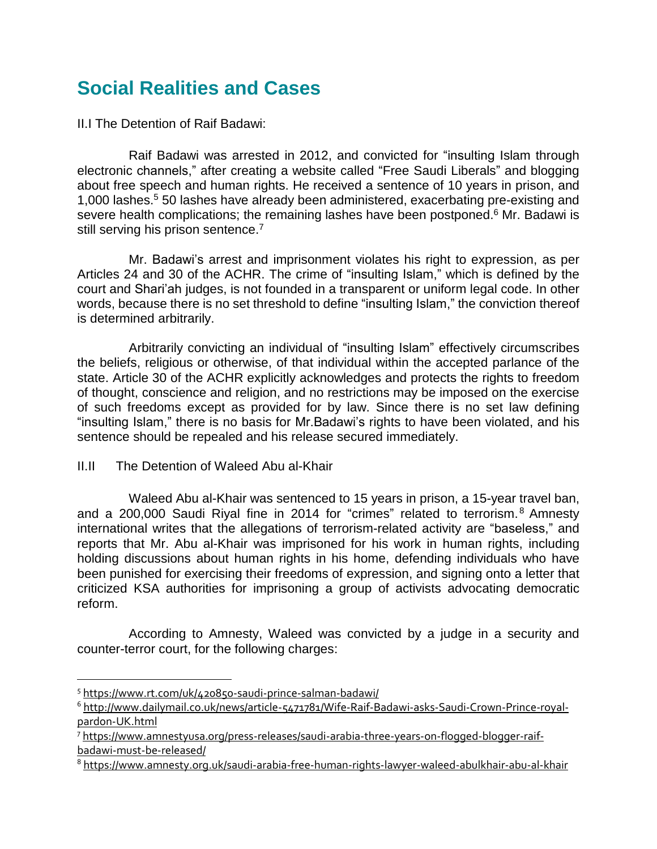# **Social Realities and Cases**

II.I The Detention of Raif Badawi:

Raif Badawi was arrested in 2012, and convicted for "insulting Islam through electronic channels," after creating a website called "Free Saudi Liberals" and blogging about free speech and human rights. He received a sentence of 10 years in prison, and 1,000 lashes.<sup>5</sup> 50 lashes have already been administered, exacerbating pre-existing and severe health complications; the remaining lashes have been postponed.<sup>6</sup> Mr. Badawi is still serving his prison sentence.<sup>7</sup>

Mr. Badawi's arrest and imprisonment violates his right to expression, as per Articles 24 and 30 of the ACHR. The crime of "insulting Islam," which is defined by the court and Shari'ah judges, is not founded in a transparent or uniform legal code. In other words, because there is no set threshold to define "insulting Islam," the conviction thereof is determined arbitrarily.

Arbitrarily convicting an individual of "insulting Islam" effectively circumscribes the beliefs, religious or otherwise, of that individual within the accepted parlance of the state. Article 30 of the ACHR explicitly acknowledges and protects the rights to freedom of thought, conscience and religion, and no restrictions may be imposed on the exercise of such freedoms except as provided for by law. Since there is no set law defining "insulting Islam," there is no basis for Mr.Badawi's rights to have been violated, and his sentence should be repealed and his release secured immediately.

#### II.II The Detention of Waleed Abu al-Khair

Waleed Abu al-Khair was sentenced to 15 years in prison, a 15-year travel ban, and a 200,000 Saudi Riyal fine in 2014 for "crimes" related to terrorism. <sup>8</sup> Amnesty international writes that the allegations of terrorism-related activity are "baseless," and reports that Mr. Abu al-Khair was imprisoned for his work in human rights, including holding discussions about human rights in his home, defending individuals who have been punished for exercising their freedoms of expression, and signing onto a letter that criticized KSA authorities for imprisoning a group of activists advocating democratic reform.

According to Amnesty, Waleed was convicted by a judge in a security and counter-terror court, for the following charges:

 $\overline{a}$ 

<sup>5</sup> <https://www.rt.com/uk/420850-saudi-prince-salman-badawi/>

<sup>6</sup> [http://www.dailymail.co.uk/news/article-5471781/Wife-Raif-Badawi-asks-Saudi-Crown-Prince-royal](http://www.dailymail.co.uk/news/article-5471781/Wife-Raif-Badawi-asks-Saudi-Crown-Prince-royal-pardon-UK.html)[pardon-UK.html](http://www.dailymail.co.uk/news/article-5471781/Wife-Raif-Badawi-asks-Saudi-Crown-Prince-royal-pardon-UK.html)

<sup>7</sup> [https://www.amnestyusa.org/press-releases/saudi-arabia-three-years-on-flogged-blogger-raif](https://www.amnestyusa.org/press-releases/saudi-arabia-three-years-on-flogged-blogger-raif-badawi-must-be-released/)[badawi-must-be-released/](https://www.amnestyusa.org/press-releases/saudi-arabia-three-years-on-flogged-blogger-raif-badawi-must-be-released/)

<sup>&</sup>lt;sup>8</sup> <https://www.amnesty.org.uk/saudi-arabia-free-human-rights-lawyer-waleed-abulkhair-abu-al-khair>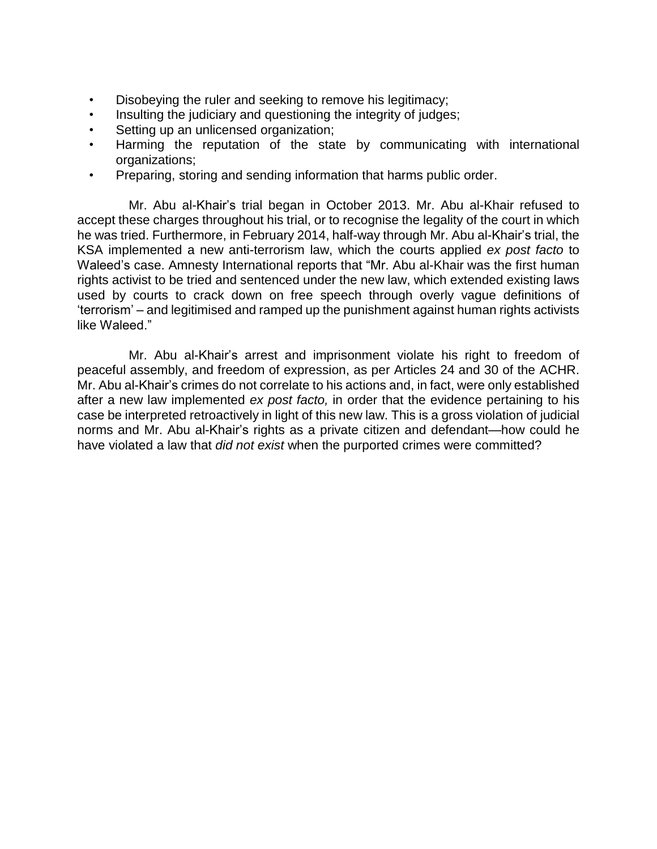- Disobeying the ruler and seeking to remove his legitimacy;
- Insulting the judiciary and questioning the integrity of judges;
- Setting up an unlicensed organization;
- Harming the reputation of the state by communicating with international organizations;
- Preparing, storing and sending information that harms public order.

Mr. Abu al-Khair's trial began in October 2013. Mr. Abu al-Khair refused to accept these charges throughout his trial, or to recognise the legality of the court in which he was tried. Furthermore, in February 2014, half-way through Mr. Abu al-Khair's trial, the KSA implemented a new anti-terrorism law, which the courts applied *ex post facto* to Waleed's case. Amnesty International reports that "Mr. Abu al-Khair was the first human rights activist to be tried and sentenced under the new law, which extended existing laws used by courts to crack down on free speech through overly vague definitions of 'terrorism' – and legitimised and ramped up the punishment against human rights activists like Waleed."

Mr. Abu al-Khair's arrest and imprisonment violate his right to freedom of peaceful assembly, and freedom of expression, as per Articles 24 and 30 of the ACHR. Mr. Abu al-Khair's crimes do not correlate to his actions and, in fact, were only established after a new law implemented *ex post facto,* in order that the evidence pertaining to his case be interpreted retroactively in light of this new law. This is a gross violation of judicial norms and Mr. Abu al-Khair's rights as a private citizen and defendant—how could he have violated a law that *did not exist* when the purported crimes were committed?